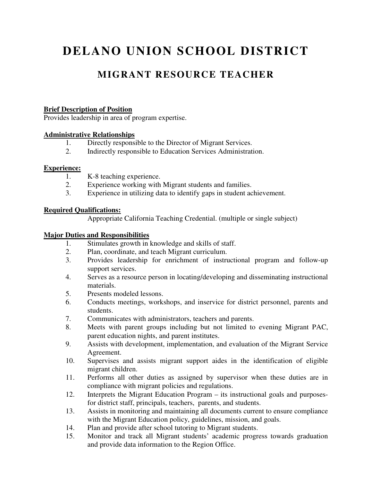# **DELANO UNION SCHOOL DISTRICT**

# **MIGRANT RESOURCE TEACHER**

#### **Brief Description of Position**

Provides leadership in area of program expertise.

#### **Administrative Relationships**

- 1. Directly responsible to the Director of Migrant Services.<br>2. Indirectly responsible to Education Services Administration
- 2. Indirectly responsible to Education Services Administration.

#### **Experience:**

- 1. K-8 teaching experience.
- 2. Experience working with Migrant students and families.
- 3. Experience in utilizing data to identify gaps in student achievement.

#### **Required Qualifications:**

Appropriate California Teaching Credential. (multiple or single subject)

#### **Major Duties and Responsibilities**

- 1. Stimulates growth in knowledge and skills of staff.
- 2. Plan, coordinate, and teach Migrant curriculum.
- 3. Provides leadership for enrichment of instructional program and follow-up support services.
- 4. Serves as a resource person in locating/developing and disseminating instructional materials.
- 5. Presents modeled lessons.
- 6. Conducts meetings, workshops, and inservice for district personnel, parents and students.
- 7. Communicates with administrators, teachers and parents.
- 8. Meets with parent groups including but not limited to evening Migrant PAC, parent education nights, and parent institutes.
- 9. Assists with development, implementation, and evaluation of the Migrant Service Agreement.
- 10. Supervises and assists migrant support aides in the identification of eligible migrant children.
- 11. Performs all other duties as assigned by supervisor when these duties are in compliance with migrant policies and regulations.
- 12. Interprets the Migrant Education Program its instructional goals and purposesfor district staff, principals, teachers, parents, and students.
- 13. Assists in monitoring and maintaining all documents current to ensure compliance with the Migrant Education policy, guidelines, mission, and goals.
- 14. Plan and provide after school tutoring to Migrant students.
- 15. Monitor and track all Migrant students' academic progress towards graduation and provide data information to the Region Office.